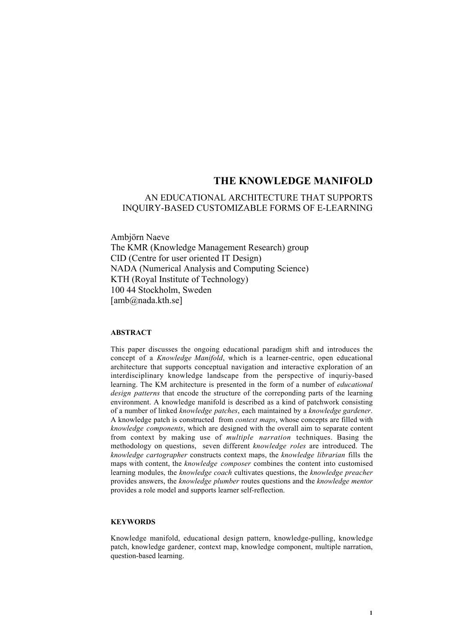# AN EDUCATIONAL ARCHITECTURE THAT SUPPORTS INQUIRY-BASED CUSTOMIZABLE FORMS OF E-LEARNING

Ambjörn Naeve The KMR (Knowledge Management Research) group CID (Centre for user oriented IT Design) NADA (Numerical Analysis and Computing Science) KTH (Royal Institute of Technology) 100 44 Stockholm, Sweden [amb@nada.kth.se]

# **ABSTRACT**

This paper discusses the ongoing educational paradigm shift and introduces the concept of a *Knowledge Manifold*, which is a learner-centric, open educational architecture that supports conceptual navigation and interactive exploration of an interdisciplinary knowledge landscape from the perspective of inquriy-based learning. The KM architecture is presented in the form of a number of *educational design patterns* that encode the structure of the correponding parts of the learning environment. A knowledge manifold is described as a kind of patchwork consisting of a number of linked *knowledge patches*, each maintained by a *knowledge gardener*. A knowledge patch is constructed from *context maps*, whose concepts are filled with *knowledge components*, which are designed with the overall aim to separate content from context by making use of *multiple narration* techniques. Basing the methodology on questions, seven different *knowledge roles* are introduced. The *knowledge cartographer* constructs context maps, the *knowledge librarian* fills the maps with content, the *knowledge composer* combines the content into customised learning modules, the *knowledge coach* cultivates questions, the *knowledge preacher* provides answers, the *knowledge plumber* routes questions and the *knowledge mentor* provides a role model and supports learner self-reflection.

## **KEYWORDS**

Knowledge manifold, educational design pattern, knowledge-pulling, knowledge patch, knowledge gardener, context map, knowledge component, multiple narration, question-based learning.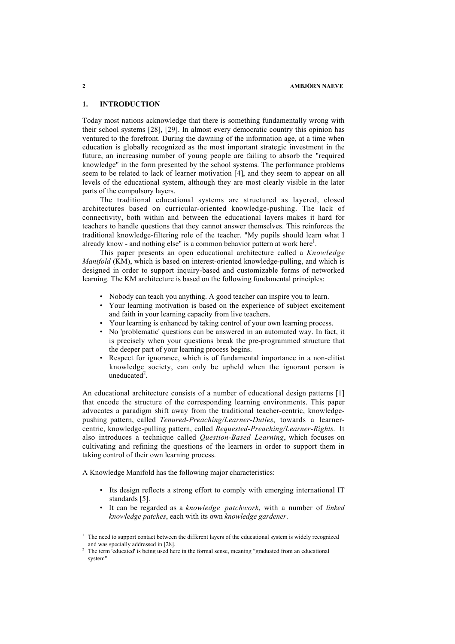#### **2 AMBJÖRN NAEVE**

## **1. INTRODUCTION**

Today most nations acknowledge that there is something fundamentally wrong with their school systems [28], [29]. In almost every democratic country this opinion has ventured to the forefront. During the dawning of the information age, at a time when education is globally recognized as the most important strategic investment in the future, an increasing number of young people are failing to absorb the "required knowledge" in the form presented by the school systems. The performance problems seem to be related to lack of learner motivation [4], and they seem to appear on all levels of the educational system, although they are most clearly visible in the later parts of the compulsory layers.

The traditional educational systems are structured as layered, closed architectures based on curricular-oriented knowledge-pushing. The lack of connectivity, both within and between the educational layers makes it hard for teachers to handle questions that they cannot answer themselves. This reinforces the traditional knowledge-filtering role of the teacher. "My pupils should learn what I already know - and nothing else" is a common behavior pattern at work here<sup>1</sup>.

This paper presents an open educational architecture called a *Knowledge Manifold* (KM), which is based on interest-oriented knowledge-pulling, and which is designed in order to support inquiry-based and customizable forms of networked learning. The KM architecture is based on the following fundamental principles:

- Nobody can teach you anything. A good teacher can inspire you to learn.
- Your learning motivation is based on the experience of subject excitement and faith in your learning capacity from live teachers.
- Your learning is enhanced by taking control of your own learning process.
- No 'problematic' questions can be answered in an automated way. In fact, it is precisely when your questions break the pre-programmed structure that the deeper part of your learning process begins.
- Respect for ignorance, which is of fundamental importance in a non-elitist knowledge society, can only be upheld when the ignorant person is uneducated $2$ .

An educational architecture consists of a number of educational design patterns [1] that encode the structure of the corresponding learning environments. This paper advocates a paradigm shift away from the traditional teacher-centric, knowledgepushing pattern, called *Tenured-Preaching/Learner-Duties*, towards a learnercentric, knowledge-pulling pattern, called *Requested-Preaching/Learner-Rights*. It also introduces a technique called *Question-Based Learning*, which focuses on cultivating and refining the questions of the learners in order to support them in taking control of their own learning process.

A Knowledge Manifold has the following major characteristics:

- Its design reflects a strong effort to comply with emerging international IT standards [5].
- It can be regarded as a *knowledge patchwork*, with a number of *linked knowledge patches*, each with its own *knowledge gardener*.

<sup>1</sup> The need to support contact between the different layers of the educational system is widely recognized and was specially addressed in [28].

The term 'educated' is being used here in the formal sense, meaning "graduated from an educational system".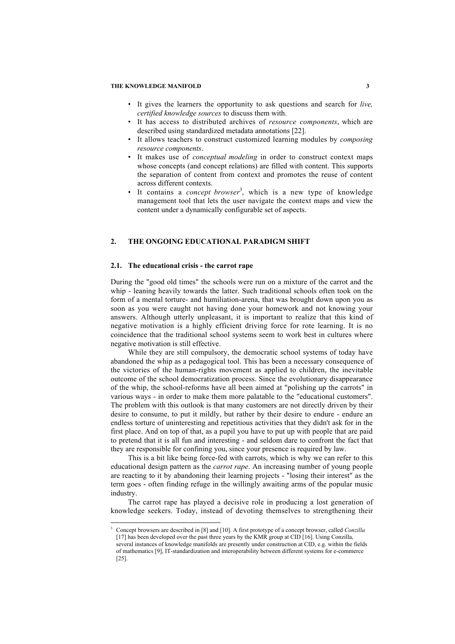- It gives the learners the opportunity to ask questions and search for *live, certified knowledge sources* to discuss them with.
- It has access to distributed archives of *resource components*, which are described using standardized metadata annotations [22].
- It allows teachers to construct customized learning modules by *composing resource components*.
- It makes use of *conceptual modeling* in order to construct context maps whose concepts (and concept relations) are filled with content. This supports the separation of content from context and promotes the reuse of content across different contexts.
- It contains a *concept browser*<sup>3</sup> , which is a new type of knowledge management tool that lets the user navigate the context maps and view the content under a dynamically configurable set of aspects.

# **2. THE ONGOING EDUCATIONAL PARADIGM SHIFT**

## **2.1. The educational crisis - the carrot rape**

1

During the "good old times" the schools were run on a mixture of the carrot and the whip - leaning heavily towards the latter. Such traditional schools often took on the form of a mental torture- and humiliation-arena, that was brought down upon you as soon as you were caught not having done your homework and not knowing your answers. Although utterly unpleasant, it is important to realize that this kind of negative motivation is a highly efficient driving force for rote learning. It is no coincidence that the traditional school systems seem to work best in cultures where negative motivation is still effective.

While they are still compulsory, the democratic school systems of today have abandoned the whip as a pedagogical tool. This has been a necessary consequence of the victories of the human-rights movement as applied to children, the inevitable outcome of the school democratization process. Since the evolutionary disappearance of the whip, the school-reforms have all been aimed at "polishing up the carrots" in various ways - in order to make them more palatable to the "educational customers". The problem with this outlook is that many customers are not directly driven by their desire to consume, to put it mildly, but rather by their desire to endure - endure an endless torture of uninteresting and repetitious activities that they didn't ask for in the first place. And on top of that, as a pupil you have to put up with people that are paid to pretend that it is all fun and interesting - and seldom dare to confront the fact that they are responsible for confining you, since your presence is required by law.

This is a bit like being force-fed with carrots, which is why we can refer to this educational design pattern as the *carrot rape*. An increasing number of young people are reacting to it by abandoning their learning projects - "losing their interest" as the term goes - often finding refuge in the willingly awaiting arms of the popular music industry.

The carrot rape has played a decisive role in producing a lost generation of knowledge seekers. Today, instead of devoting themselves to strengthening their

<sup>3</sup> Concept browsers are described in [8] and [10]. A first prototype of a concept browser, called *Conzilla* [17] has been developed over the past three years by the KMR group at CID [16]. Using Conzilla, several instances of knowledge manifolds are presently under construction at CID, e.g. within the fields of mathematics [9], IT-standardization and interoperability between different systems for e-commerce [25].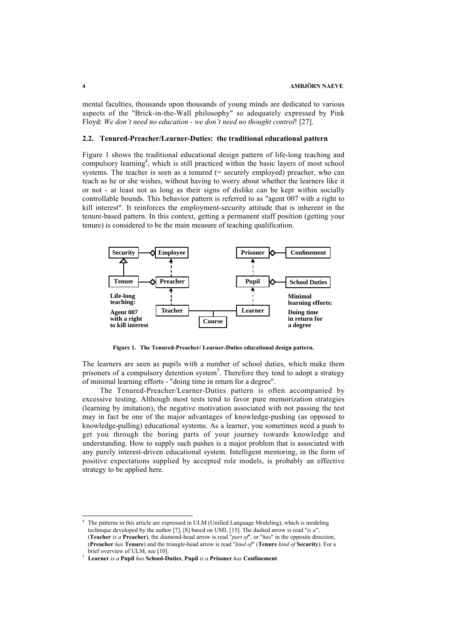mental faculties, thousands upon thousands of young minds are dedicated to various aspects of the "Brick-in-the-Wall philosophy" so adequately expressed by Pink Floyd: *We don't need no education - we don't need no thought control*! [27].

## **2.2. Tenured-Preacher/Learner-Duties: the traditional educational pattern**

Figure 1 shows the traditional educational design pattern of life-long teaching and compulsory learning<sup>4</sup>, which is still practiced within the basic layers of most school systems. The teacher is seen as a tenured  $(=$  securely employed) preacher, who can teach as he or she wishes, without having to worry about whether the learners like it or not - at least not as long as their signs of dislike can be kept within socially controllable bounds. This behavior pattern is referred to as "agent 007 with a right to kill interest". It reinforces the employment-security attitude that is inherent in the tenure-based pattern. In this context, getting a permanent staff position (getting your tenure) is considered to be the main measure of teaching qualification.



**Figure 1. The Tenured-Preacher/ Learner-Duties educational design pattern.**

The learners are seen as pupils with a number of school duties, which make them prisoners of a compulsory detention system<sup>5</sup>. Therefore they tend to adopt a strategy of minimal learning efforts - "doing time in return for a degree".

The Tenured-Preacher/Learner-Duties pattern is often accompanied by excessive testing. Although most tests tend to favor pure memorization strategies (learning by imitation), the negative motivation associated with not passing the test may in fact be one of the major advantages of knowledge-pushing (as opposed to knowledge-pulling) educational systems. As a learner, you sometimes need a push to get you through the boring parts of your journey towards knowledge and understanding. How to supply such pushes is a major problem that is associated with any purely interest-driven educational system. Intelligent mentoring, in the form of positive expectations supplied by accepted role models, is probably an effective strategy to be applied here.

<sup>4</sup> The patterns in this article are expressed in ULM (Unified Language Modeling), which is modeling technique developed by the author [7], [8] based on UML [15]. The dashed arrow is read "*is a*", (**Teacher** *is a* **Preacher**), the diamond-head arrow is read "*part of*", or "*has*" in the opposite direction, (**Preacher** *has* **Tenure**) and the triangle-head arrow is read "*kind of*" (**Tenure** *kind of* **Security**). For a brief overview of ULM, see [10].

<sup>5</sup> **Learner** *is a* **Pupil** *has* **School-Duties**, **Pupil** *is a* **Prisoner** *has* **Confinement**.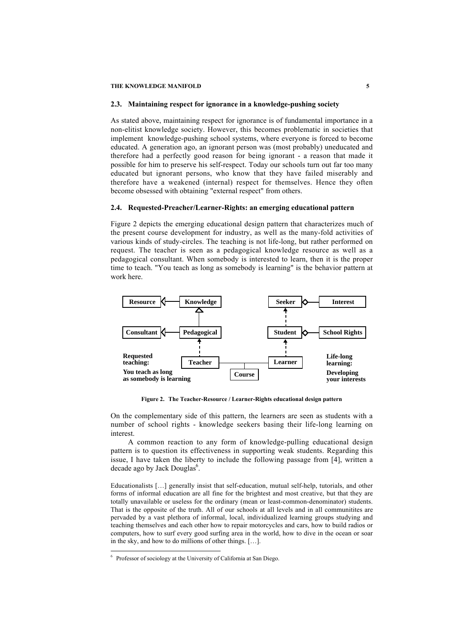#### **2.3. Maintaining respect for ignorance in a knowledge-pushing society**

As stated above, maintaining respect for ignorance is of fundamental importance in a non-elitist knowledge society. However, this becomes problematic in societies that implement knowledge-pushing school systems, where everyone is forced to become educated. A generation ago, an ignorant person was (most probably) uneducated and therefore had a perfectly good reason for being ignorant - a reason that made it possible for him to preserve his self-respect. Today our schools turn out far too many educated but ignorant persons, who know that they have failed miserably and therefore have a weakened (internal) respect for themselves. Hence they often become obsessed with obtaining "external respect" from others.

#### **2.4. Requested-Preacher/Learner-Rights: an emerging educational pattern**

Figure 2 depicts the emerging educational design pattern that characterizes much of the present course development for industry, as well as the many-fold activities of various kinds of study-circles. The teaching is not life-long, but rather performed on request. The teacher is seen as a pedagogical knowledge resource as well as a pedagogical consultant. When somebody is interested to learn, then it is the proper time to teach. "You teach as long as somebody is learning" is the behavior pattern at work here.



**Figure 2. The Teacher-Resource / Learner-Rights educational design pattern**

On the complementary side of this pattern, the learners are seen as students with a number of school rights - knowledge seekers basing their life-long learning on interest.

A common reaction to any form of knowledge-pulling educational design pattern is to question its effectiveness in supporting weak students. Regarding this issue, I have taken the liberty to include the following passage from [4], written a decade ago by Jack Douglas<sup>6</sup>.

Educationalists […] generally insist that self-education, mutual self-help, tutorials, and other forms of informal education are all fine for the brightest and most creative, but that they are totally unavailable or useless for the ordinary (mean or least-common-denominator) students. That is the opposite of the truth. All of our schools at all levels and in all communitites are pervaded by a vast plethora of informal, local, individualized learning groups studying and teaching themselves and each other how to repair motorcycles and cars, how to build radios or computers, how to surf every good surfing area in the world, how to dive in the ocean or soar in the sky, and how to do millions of other things. […].

<sup>&</sup>lt;sup>6</sup> Professor of sociology at the University of California at San Diego.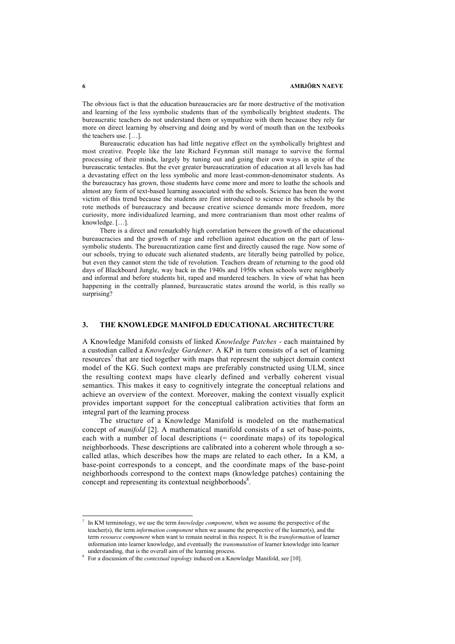The obvious fact is that the education bureaucracies are far more destructive of the motivation and learning of the less symbolic students than of the symbolically brightest students. The bureaucratic teachers do not understand them or sympathize with them because they rely far more on direct learning by observing and doing and by word of mouth than on the textbooks the teachers use. […].

Bureaucratic education has had little negative effect on the symbolically brightest and most creative. People like the late Richard Feynman still manage to survive the formal processing of their minds, largely by tuning out and going their own ways in spite of the bureaucratic tentacles. But the ever greater bureaucratization of education at all levels has had a devastating effect on the less symbolic and more least-common-denominator students. As the bureaucracy has grown, those students have come more and more to loathe the schools and almost any form of text-based learning associated with the schools. Science has been the worst victim of this trend because the students are first introduced to science in the schools by the rote methods of bureaucracy and because creative science demands more freedom, more curiosity, more individualized learning, and more contrarianism than most other realms of knowledge. […].

There is a direct and remarkably high correlation between the growth of the educational bureaucracies and the growth of rage and rebellion against education on the part of lesssymbolic students. The bureaucratization came first and directly caused the rage. Now some of our schools, trying to educate such alienated students, are literally being patrolled by police, but even they cannot stem the tide of revolution. Teachers dream of returning to the good old days of Blackboard Jungle, way back in the 1940s and 1950s when schools were neighborly and informal and before students hit, raped and murdered teachers. In view of what has been happening in the centrally planned, bureaucratic states around the world, is this really so surprising?

## **3. THE KNOWLEDGE MANIFOLD EDUCATIONAL ARCHITECTURE**

A Knowledge Manifold consists of linked *Knowledge Patches -* each maintained by a custodian called a *Knowledge Gardener*. A KP in turn consists of a set of learning resources<sup>7</sup> that are tied together with maps that represent the subject domain context model of the KG. Such context maps are preferably constructed using ULM, since the resulting context maps have clearly defined and verbally coherent visual semantics. This makes it easy to cognitively integrate the conceptual relations and achieve an overview of the context. Moreover, making the context visually explicit provides important support for the conceptual calibration activities that form an integral part of the learning process

The structure of a Knowledge Manifold is modeled on the mathematical concept of *manifold* [2]. A mathematical manifold consists of a set of base-points, each with a number of local descriptions (= coordinate maps) of its topological neighborhoods. These descriptions are calibrated into a coherent whole through a socalled atlas, which describes how the maps are related to each other**.** In a KM, a base-point corresponds to a concept, and the coordinate maps of the base-point neighborhoods correspond to the context maps (knowledge patches) containing the concept and representing its contextual neighborhoods<sup>8</sup>.

<sup>7</sup> In KM terminology, we use the term *knowledge component*, when we assume the perspective of the teacher(s), the term *information component* when we assume the perspective of the learner(s), and the term *resource component* when want to remain neutral in this respect. It is the *transformation* of learner information into learner knowledge, and eventually the *transmutation* of learner knowledge into learner understanding, that is the overall aim of the learning process.

<sup>8</sup> For a discussion of the *contextual topology* induced on a Knowledge Manifold, see [10].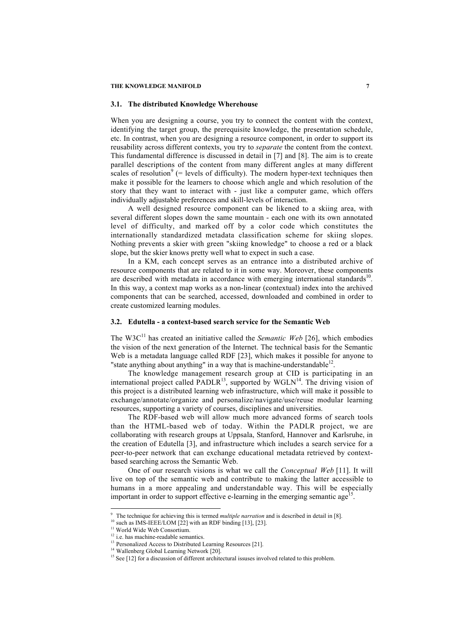## **3.1. The distributed Knowledge Wherehouse**

When you are designing a course, you try to connect the content with the context, identifying the target group, the prerequisite knowledge, the presentation schedule, etc. In contrast, when you are designing a resource component, in order to support its reusability across different contexts, you try to *separate* the content from the context. This fundamental difference is discussed in detail in [7] and [8]. The aim is to create parallel descriptions of the content from many different angles at many different scales of resolution<sup>9</sup> (= levels of difficulty). The modern hyper-text techniques then make it possible for the learners to choose which angle and which resolution of the story that they want to interact with - just like a computer game, which offers individually adjustable preferences and skill-levels of interaction.

A well designed resource component can be likened to a skiing area, with several different slopes down the same mountain - each one with its own annotated level of difficulty, and marked off by a color code which constitutes the internationally standardized metadata classification scheme for skiing slopes. Nothing prevents a skier with green "skiing knowledge" to choose a red or a black slope, but the skier knows pretty well what to expect in such a case.

In a KM, each concept serves as an entrance into a distributed archive of resource components that are related to it in some way. Moreover, these components are described with metadata in accordance with emerging international standards<sup>10</sup>. In this way, a context map works as a non-linear (contextual) index into the archived components that can be searched, accessed, downloaded and combined in order to create customized learning modules.

# **3.2. Edutella - a context-based search service for the Semantic Web**

The W3C<sup>11</sup> has created an initiative called the *Semantic Web* [26], which embodies the vision of the next generation of the Internet. The technical basis for the Semantic Web is a metadata language called RDF [23], which makes it possible for anyone to "state anything about anything" in a way that is machine-understandable $12$ .

The knowledge management research group at CID is participating in an international project called PADLR<sup>13</sup>, supported by  $WGLN<sup>14</sup>$ . The driving vision of this project is a distributed learning web infrastructure, which will make it possible to exchange/annotate/organize and personalize/navigate/use/reuse modular learning resources, supporting a variety of courses, disciplines and universities.

The RDF-based web will allow much more advanced forms of search tools than the HTML-based web of today. Within the PADLR project, we are collaborating with research groups at Uppsala, Stanford, Hannover and Karlsruhe, in the creation of Edutella [3], and infrastructure which includes a search service for a peer-to-peer network that can exchange educational metadata retrieved by contextbased searching across the Semantic Web.

One of our research visions is what we call the *Conceptual Web* [11]. It will live on top of the semantic web and contribute to making the latter accessible to humans in a more appealing and understandable way. This will be especially important in order to support effective e-learning in the emerging semantic age<sup>15</sup>.

 9 The technique for achieving this is termed *multiple narration* and is described in detail in [8].

<sup>&</sup>lt;sup>10</sup> such as IMS-IEEE/LOM  $[22]$  with an RDF binding  $[13]$ ,  $[23]$ .

<sup>&</sup>lt;sup>11</sup> World Wide Web Consortium.

<sup>&</sup>lt;sup>12</sup> i.e. has machine-readable semantics.

<sup>&</sup>lt;sup>13</sup> Personalized Access to Distributed Learning Resources [21].

<sup>&</sup>lt;sup>14</sup> Wallenberg Global Learning Network [20].

 $15$  See [12] for a discussion of different architectural issuses involved related to this problem.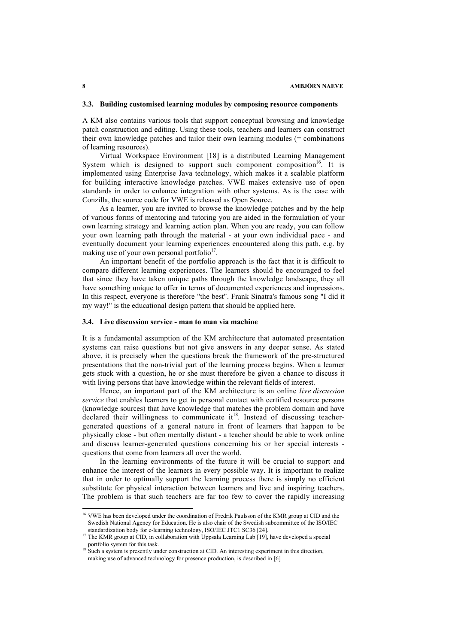## **3.3. Building customised learning modules by composing resource components**

A KM also contains various tools that support conceptual browsing and knowledge patch construction and editing. Using these tools, teachers and learners can construct their own knowledge patches and tailor their own learning modules (= combinations of learning resources).

Virtual Workspace Environment [18] is a distributed Learning Management System which is designed to support such component composition<sup>16</sup>. It is implemented using Enterprise Java technology, which makes it a scalable platform for building interactive knowledge patches. VWE makes extensive use of open standards in order to enhance integration with other systems. As is the case with Conzilla, the source code for VWE is released as Open Source.

As a learner, you are invited to browse the knowledge patches and by the help of various forms of mentoring and tutoring you are aided in the formulation of your own learning strategy and learning action plan. When you are ready, you can follow your own learning path through the material - at your own individual pace - and eventually document your learning experiences encountered along this path, e.g. by making use of your own personal portfolio $17$ .

An important benefit of the portfolio approach is the fact that it is difficult to compare different learning experiences. The learners should be encouraged to feel that since they have taken unique paths through the knowledge landscape, they all have something unique to offer in terms of documented experiences and impressions. In this respect, everyone is therefore "the best". Frank Sinatra's famous song "I did it my way!" is the educational design pattern that should be applied here.

## **3.4. Live discussion service - man to man via machine**

It is a fundamental assumption of the KM architecture that automated presentation systems can raise questions but not give answers in any deeper sense. As stated above, it is precisely when the questions break the framework of the pre-structured presentations that the non-trivial part of the learning process begins. When a learner gets stuck with a question, he or she must therefore be given a chance to discuss it with living persons that have knowledge within the relevant fields of interest.

Hence, an important part of the KM architecture is an online *live discussion service* that enables learners to get in personal contact with certified resource persons (knowledge sources) that have knowledge that matches the problem domain and have declared their willingness to communicate it<sup>18</sup>. Instead of discussing teachergenerated questions of a general nature in front of learners that happen to be physically close - but often mentally distant - a teacher should be able to work online and discuss learner-generated questions concerning his or her special interests questions that come from learners all over the world.

In the learning environments of the future it will be crucial to support and enhance the interest of the learners in every possible way. It is important to realize that in order to optimally support the learning process there is simply no efficient substitute for physical interaction between learners and live and inspiring teachers. The problem is that such teachers are far too few to cover the rapidly increasing

<sup>&</sup>lt;sup>16</sup> VWE has been developed under the coordination of Fredrik Paulsson of the KMR group at CID and the Swedish National Agency for Education. He is also chair of the Swedish subcommittee of the ISO/IEC standardization body for e-learning technology, ISO/IEC JTC1 SC36 [24].

<sup>&</sup>lt;sup>17</sup> The KMR group at CID, in collaboration with Uppsala Learning Lab [19], have developed a special portfolio system for this task.

<sup>&</sup>lt;sup>18</sup> Such a system is presently under construction at CID. An interesting experiment in this direction, making use of advanced technology for presence production, is described in [6]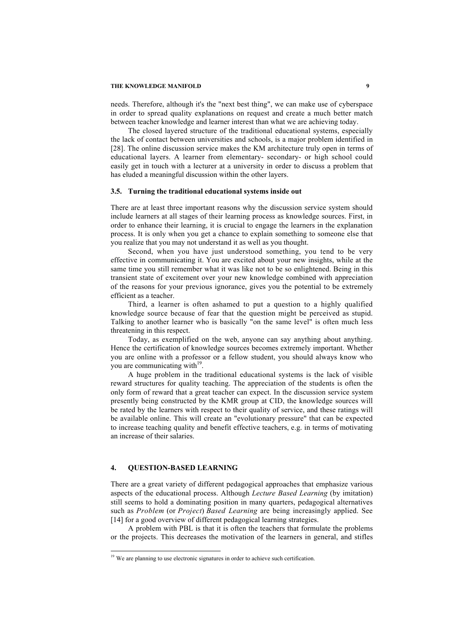needs. Therefore, although it's the "next best thing", we can make use of cyberspace in order to spread quality explanations on request and create a much better match between teacher knowledge and learner interest than what we are achieving today.

The closed layered structure of the traditional educational systems, especially the lack of contact between universities and schools, is a major problem identified in [28]. The online discussion service makes the KM architecture truly open in terms of educational layers. A learner from elementary- secondary- or high school could easily get in touch with a lecturer at a university in order to discuss a problem that has eluded a meaningful discussion within the other layers.

#### **3.5. Turning the traditional educational systems inside out**

There are at least three important reasons why the discussion service system should include learners at all stages of their learning process as knowledge sources. First, in order to enhance their learning, it is crucial to engage the learners in the explanation process. It is only when you get a chance to explain something to someone else that you realize that you may not understand it as well as you thought.

Second, when you have just understood something, you tend to be very effective in communicating it. You are excited about your new insights, while at the same time you still remember what it was like not to be so enlightened. Being in this transient state of excitement over your new knowledge combined with appreciation of the reasons for your previous ignorance, gives you the potential to be extremely efficient as a teacher.

Third, a learner is often ashamed to put a question to a highly qualified knowledge source because of fear that the question might be perceived as stupid. Talking to another learner who is basically "on the same level" is often much less threatening in this respect.

Today, as exemplified on the web, anyone can say anything about anything. Hence the certification of knowledge sources becomes extremely important. Whether you are online with a professor or a fellow student, you should always know who you are communicating with $19$ .

A huge problem in the traditional educational systems is the lack of visible reward structures for quality teaching. The appreciation of the students is often the only form of reward that a great teacher can expect. In the discussion service system presently being constructed by the KMR group at CID, the knowledge sources will be rated by the learners with respect to their quality of service, and these ratings will be available online. This will create an "evolutionary pressure" that can be expected to increase teaching quality and benefit effective teachers, e.g. in terms of motivating an increase of their salaries.

## **4. QUESTION-BASED LEARNING**

 $\overline{a}$ 

There are a great variety of different pedagogical approaches that emphasize various aspects of the educational process. Although *Lecture Based Learning* (by imitation) still seems to hold a dominating position in many quarters, pedagogical alternatives such as *Problem* (or *Project*) *Based Learning* are being increasingly applied. See [14] for a good overview of different pedagogical learning strategies.

A problem with PBL is that it is often the teachers that formulate the problems or the projects. This decreases the motivation of the learners in general, and stifles

<sup>&</sup>lt;sup>19</sup> We are planning to use electronic signatures in order to achieve such certification.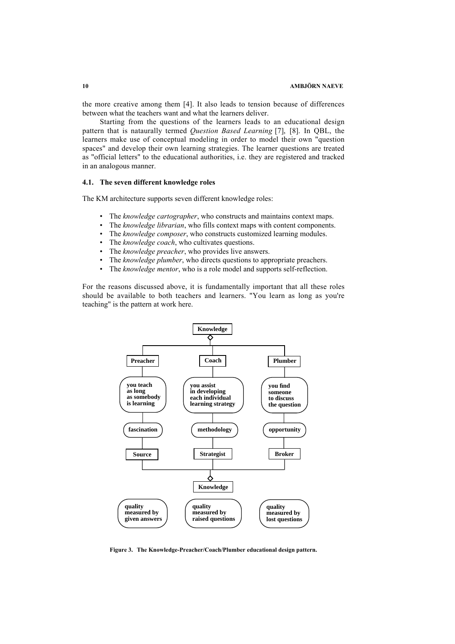the more creative among them [4]. It also leads to tension because of differences between what the teachers want and what the learners deliver.

Starting from the questions of the learners leads to an educational design pattern that is nataurally termed *Question Based Learning* [7], [8]. In QBL, the learners make use of conceptual modeling in order to model their own "question spaces" and develop their own learning strategies. The learner questions are treated as "official letters" to the educational authorities, i.e. they are registered and tracked in an analogous manner.

### **4.1. The seven different knowledge roles**

The KM architecture supports seven different knowledge roles:

- The *knowledge cartographer*, who constructs and maintains context maps.
- The *knowledge librarian*, who fills context maps with content components.
- The *knowledge composer*, who constructs customized learning modules.
- The *knowledge coach*, who cultivates questions.
- The *knowledge preacher*, who provides live answers.
- The *knowledge plumber*, who directs questions to appropriate preachers.
- The *knowledge mentor*, who is a role model and supports self-reflection.

For the reasons discussed above, it is fundamentally important that all these roles should be available to both teachers and learners. "You learn as long as you're teaching" is the pattern at work here.



**Figure 3. The Knowledge-Preacher/Coach/Plumber educational design pattern.**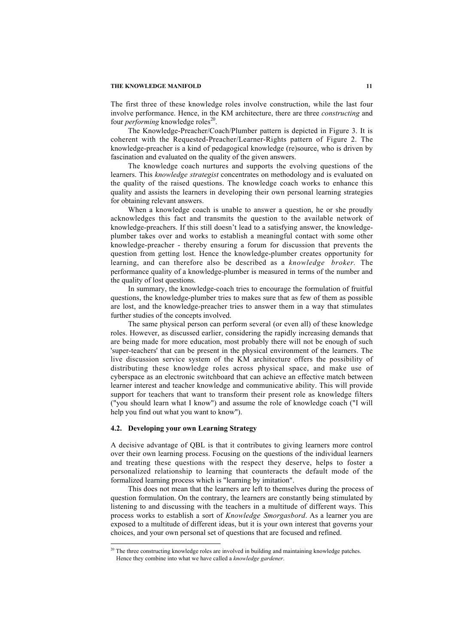The first three of these knowledge roles involve construction, while the last four involve performance. Hence, in the KM architecture, there are three *constructing* and four *performing* knowledge roles<sup>20</sup>.

The Knowledge-Preacher/Coach/Plumber pattern is depicted in Figure 3. It is coherent with the Requested-Preacher/Learner-Rights pattern of Figure 2. The knowledge-preacher is a kind of pedagogical knowledge (re)source, who is driven by fascination and evaluated on the quality of the given answers.

The knowledge coach nurtures and supports the evolving questions of the learners. This *knowledge strategist* concentrates on methodology and is evaluated on the quality of the raised questions. The knowledge coach works to enhance this quality and assists the learners in developing their own personal learning strategies for obtaining relevant answers.

When a knowledge coach is unable to answer a question, he or she proudly acknowledges this fact and transmits the question to the available network of knowledge-preachers. If this still doesn't lead to a satisfying answer, the knowledgeplumber takes over and works to establish a meaningful contact with some other knowledge-preacher - thereby ensuring a forum for discussion that prevents the question from getting lost. Hence the knowledge-plumber creates opportunity for learning, and can therefore also be described as a *knowledge broker*. The performance quality of a knowledge-plumber is measured in terms of the number and the quality of lost questions.

In summary, the knowledge-coach tries to encourage the formulation of fruitful questions, the knowledge-plumber tries to makes sure that as few of them as possible are lost, and the knowledge-preacher tries to answer them in a way that stimulates further studies of the concepts involved.

The same physical person can perform several (or even all) of these knowledge roles. However, as discussed earlier, considering the rapidly increasing demands that are being made for more education, most probably there will not be enough of such 'super-teachers' that can be present in the physical environment of the learners. The live discussion service system of the KM architecture offers the possibility of distributing these knowledge roles across physical space, and make use of cyberspace as an electronic switchboard that can achieve an effective match between learner interest and teacher knowledge and communicative ability. This will provide support for teachers that want to transform their present role as knowledge filters ("you should learn what I know") and assume the role of knowledge coach ("I will help you find out what you want to know").

#### **4.2. Developing your own Learning Strategy**

1

A decisive advantage of QBL is that it contributes to giving learners more control over their own learning process. Focusing on the questions of the individual learners and treating these questions with the respect they deserve, helps to foster a personalized relationship to learning that counteracts the default mode of the formalized learning process which is "learning by imitation".

This does not mean that the learners are left to themselves during the process of question formulation. On the contrary, the learners are constantly being stimulated by listening to and discussing with the teachers in a multitude of different ways. This process works to establish a sort of *Knowledge Smorgasbord*. As a learner you are exposed to a multitude of different ideas, but it is your own interest that governs your choices, and your own personal set of questions that are focused and refined.

 $20$  The three constructing knowledge roles are involved in building and maintaining knowledge patches. Hence they combine into what we have called a *knowledge gardener*.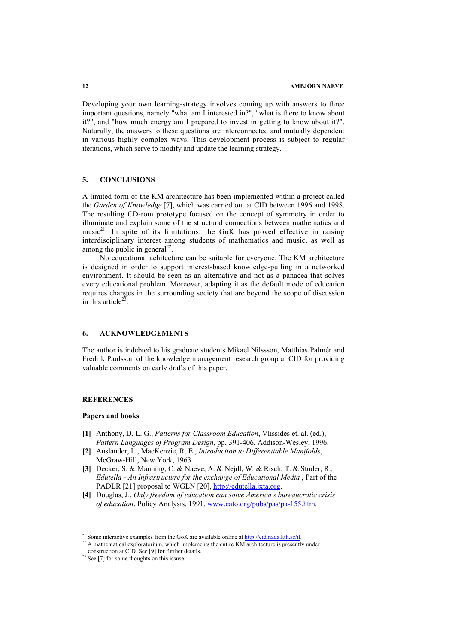Developing your own learning-strategy involves coming up with answers to three important questions, namely "what am I interested in?", "what is there to know about it?", and "how much energy am I prepared to invest in getting to know about it?". Naturally, the answers to these questions are interconnected and mutually dependent in various highly complex ways. This development process is subject to regular iterations, which serve to modify and update the learning strategy.

#### **5. CONCLUSIONS**

A limited form of the KM architecture has been implemented within a project called the *Garden of Knowledge* [7], which was carried out at CID between 1996 and 1998. The resulting CD-rom prototype focused on the concept of symmetry in order to illuminate and explain some of the structural connections between mathematics and music<sup>21</sup>. In spite of its limitations, the GoK has proved effective in raising interdisciplinary interest among students of mathematics and music, as well as among the public in general<sup>22</sup>.

No educational achitecture can be suitable for everyone. The KM architecture is designed in order to support interest-based knowledge-pulling in a networked environment. It should be seen as an alternative and not as a panacea that solves every educational problem. Moreover, adapting it as the default mode of education requires changes in the surrounding society that are beyond the scope of discussion in this article<sup>23</sup>.

# **6. ACKNOWLEDGEMENTS**

The author is indebted to his graduate students Mikael Nilssson, Matthias Palmér and Fredrik Paulsson of the knowledge management research group at CID for providing valuable comments on early drafts of this paper.

## **REFERENCES**

## **Papers and books**

- **[1]** Anthony, D. L. G., *Patterns for Classroom Education*, Vlissides et. al. (ed.), *Pattern Languages of Program Design*, pp. 391-406, Addison-Wesley, 1996.
- **[2]** Auslander, L., MacKenzie, R. E., *Introduction to Differentiable Manifolds*, McGraw-Hill, New York, 1963.
- **[3]** Decker, S. & Manning, C. & Naeve, A. & Nejdl, W*.* & Risch, T. & Studer, R.*, Edutella - An Infrastructure for the exchange of Educational Media* , Part of the PADLR [21] proposal to WGLN [20], http://edutella.jxta.org.
- **[4]** Douglas, J., *Only freedom of education can solve America's bureaucratic crisis of education*, Policy Analysis, 1991, www.cato.org/pubs/pas/pa-155.htm.

<sup>&</sup>lt;sup>21</sup> Some interactive examples from the GoK are available online at  $\frac{http://cid.nada.kth.se/i!}{http://cid.nada.kth.se/i!}$ .

<sup>&</sup>lt;sup>22</sup> A mathematical exploratorium, which implements the entire KM architecture is presently under

construction at CID. See [9] for further details.

 $23$  See [7] for some thoughts on this issuse.